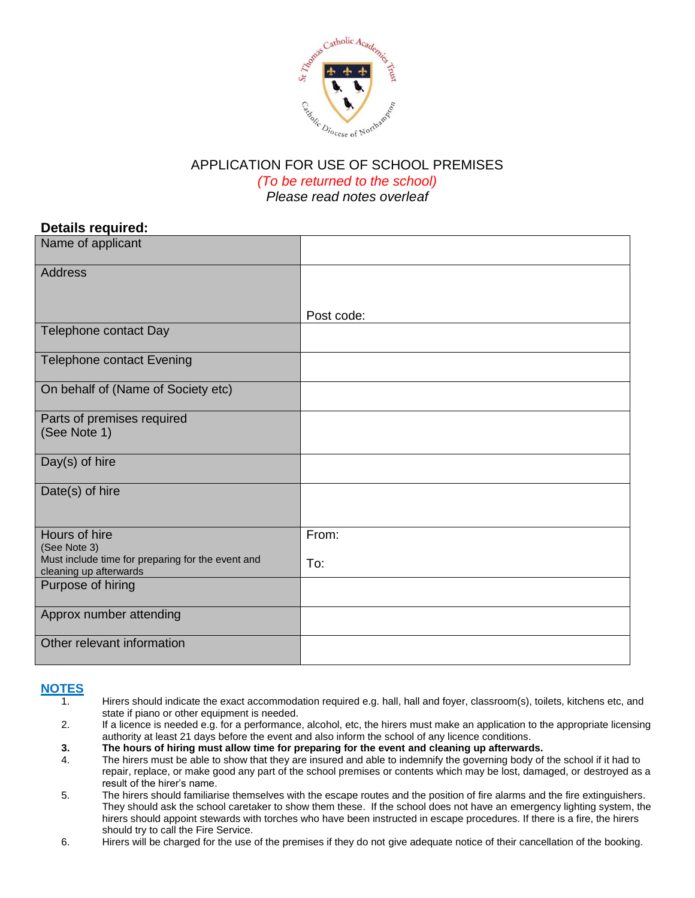

### APPLICATION FOR USE OF SCHOOL PREMISES *(To be returned to the school) Please read notes overleaf*

## **Details required:**

| Name of applicant                                                           |            |
|-----------------------------------------------------------------------------|------------|
| Address                                                                     |            |
|                                                                             |            |
|                                                                             | Post code: |
| Telephone contact Day                                                       |            |
| <b>Telephone contact Evening</b>                                            |            |
| On behalf of (Name of Society etc)                                          |            |
| Parts of premises required                                                  |            |
| (See Note 1)                                                                |            |
| Day(s) of hire                                                              |            |
| Date(s) of hire                                                             |            |
|                                                                             |            |
| Hours of hire<br>(See Note 3)                                               | From:      |
| Must include time for preparing for the event and<br>cleaning up afterwards | To:        |
| Purpose of hiring                                                           |            |
|                                                                             |            |
| Approx number attending                                                     |            |
| Other relevant information                                                  |            |

# **NOTES**

- Hirers should indicate the exact accommodation required e.g. hall, hall and foyer, classroom(s), toilets, kitchens etc, and state if piano or other equipment is needed.
- 2. If a licence is needed e.g. for a performance, alcohol, etc, the hirers must make an application to the appropriate licensing authority at least 21 days before the event and also inform the school of any licence conditions.
- **3. The hours of hiring must allow time for preparing for the event and cleaning up afterwards.**
- 4. The hirers must be able to show that they are insured and able to indemnify the governing body of the school if it had to repair, replace, or make good any part of the school premises or contents which may be lost, damaged, or destroyed as a result of the hirer's name.
- 5. The hirers should familiarise themselves with the escape routes and the position of fire alarms and the fire extinguishers. They should ask the school caretaker to show them these. If the school does not have an emergency lighting system, the hirers should appoint stewards with torches who have been instructed in escape procedures. If there is a fire, the hirers should try to call the Fire Service.
- 6. Hirers will be charged for the use of the premises if they do not give adequate notice of their cancellation of the booking.